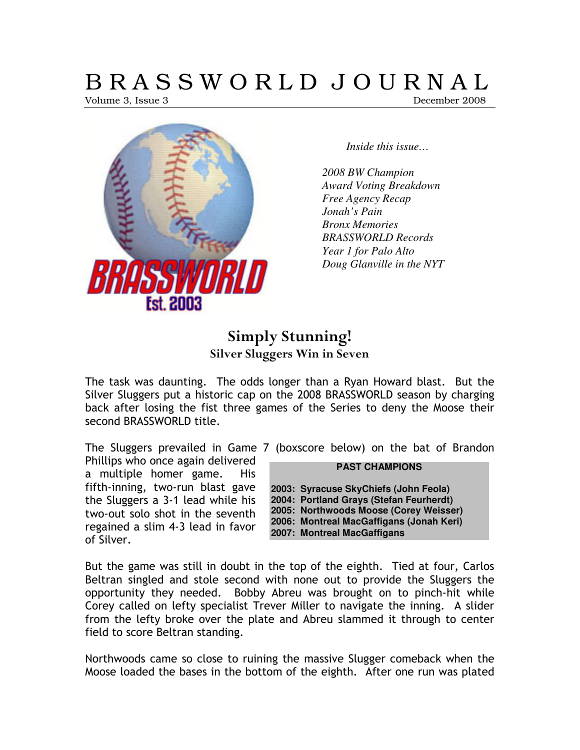# B R A S S W O R L D J O U R N A L

Volume 3, Issue 3 December 2008



*Inside this issue…* 

*2008 BW Champion Award Voting Breakdown Free Agency Recap Jonah's Pain Bronx Memories BRASSWORLD Records Year 1 for Palo Alto Doug Glanville in the NYT* 

# Simply Stunning! Silver Sluggers Win in Seven

The task was daunting. The odds longer than a Ryan Howard blast. But the Silver Sluggers put a historic cap on the 2008 BRASSWORLD season by charging back after losing the fist three games of the Series to deny the Moose their second BRASSWORLD title.

Phillips who once again delivered a multiple homer game. His fifth-inning, two-run blast gave the Sluggers a 3-1 lead while his two-out solo shot in the seventh regained a slim 4-3 lead in favor of Silver.

The Sluggers prevailed in Game 7 (boxscore below) on the bat of Brandon

#### **PAST CHAMPIONS**

**2003: Syracuse SkyChiefs (John Feola)** 

- **2004: Portland Grays (Stefan Feurherdt)**
- **2005: Northwoods Moose (Corey Weisser)**
- **2006: Montreal MacGaffigans (Jonah Keri)**
- **2007: Montreal MacGaffigans**

But the game was still in doubt in the top of the eighth. Tied at four, Carlos Beltran singled and stole second with none out to provide the Sluggers the opportunity they needed. Bobby Abreu was brought on to pinch-hit while Corey called on lefty specialist Trever Miller to navigate the inning. A slider from the lefty broke over the plate and Abreu slammed it through to center field to score Beltran standing.

Northwoods came so close to ruining the massive Slugger comeback when the Moose loaded the bases in the bottom of the eighth. After one run was plated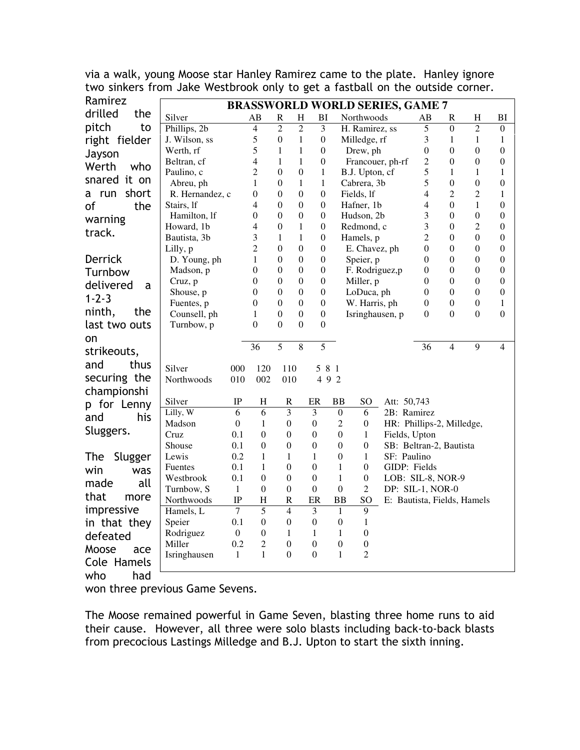| Ramirez        |                            |                  | - - - - - - - <del>-</del>   |                                  |                                      |                              |                                      |                                        |               |                                  |                                      |                             |                                      |
|----------------|----------------------------|------------------|------------------------------|----------------------------------|--------------------------------------|------------------------------|--------------------------------------|----------------------------------------|---------------|----------------------------------|--------------------------------------|-----------------------------|--------------------------------------|
| drilled<br>the |                            |                  |                              |                                  |                                      |                              |                                      | <b>BRASSWORLD WORLD SERIES, GAME 7</b> |               |                                  |                                      |                             |                                      |
| pitch<br>to    | Silver                     |                  | AВ                           | R                                | $H_{\rm}$                            | BI                           |                                      | Northwoods                             |               | AВ                               | R                                    | Η                           | BI                                   |
|                | Phillips, 2b               |                  | $\overline{4}$<br>5          | $\overline{2}$<br>$\overline{0}$ | $\overline{2}$<br>$\mathbf{1}$       | 3<br>$\boldsymbol{0}$        |                                      | H. Ramirez, ss                         |               | 5                                | $\overline{0}$                       | $\overline{2}$              | $\overline{0}$<br>1                  |
| right fielder  | J. Wilson, ss<br>Werth. rf |                  | 5                            | 1                                | $\mathbf{1}$                         | $\theta$                     |                                      | Milledge, rf<br>Drew, ph               |               | 3<br>$\overline{0}$              | $\mathbf{1}$<br>$\overline{0}$       | 1<br>$\theta$               | $\boldsymbol{0}$                     |
| Jayson         | Beltran, cf                |                  | $\overline{4}$               | 1                                | $\mathbf{1}$                         | $\boldsymbol{0}$             |                                      | Francouer, ph-rf                       |               | 2                                | $\boldsymbol{0}$                     | $\mathbf{0}$                | $\boldsymbol{0}$                     |
| Werth<br>who   | Paulino, c                 |                  | $\overline{2}$               | $\theta$                         | $\overline{0}$                       | $\mathbf{1}$                 |                                      | B.J. Upton, cf                         |               | 5                                | 1                                    | $\mathbf{1}$                | 1                                    |
| snared it on   | Abreu, ph                  |                  | 1                            | $\theta$                         | $\mathbf{1}$                         | $\mathbf{1}$                 |                                      | Cabrera, 3b                            |               | 5                                | $\boldsymbol{0}$                     | $\boldsymbol{0}$            | $\boldsymbol{0}$                     |
| short<br>a run | R. Hernandez, c            |                  | $\boldsymbol{0}$             | $\boldsymbol{0}$                 | $\boldsymbol{0}$                     | $\boldsymbol{0}$             |                                      | Fields, If                             |               | $\overline{4}$                   | $\overline{c}$                       | $\overline{2}$              | $\mathbf{1}$                         |
| of<br>the      | Stairs, lf                 |                  | $\overline{4}$               | $\overline{0}$                   | $\overline{0}$                       | $\boldsymbol{0}$             |                                      | Hafner, 1b                             |               | $\overline{4}$                   | 0                                    | $\mathbf{1}$                | $\boldsymbol{0}$                     |
| warning        | Hamilton, lf               |                  | $\boldsymbol{0}$             | $\theta$                         | $\boldsymbol{0}$                     | $\boldsymbol{0}$             |                                      | Hudson, 2b                             |               | 3                                | $\boldsymbol{0}$                     | $\boldsymbol{0}$            | $\boldsymbol{0}$                     |
| track.         | Howard, 1b                 |                  | $\overline{4}$               | $\mathbf{0}$                     | $\mathbf{1}$                         | $\boldsymbol{0}$             |                                      | Redmond, c                             |               | 3                                | $\boldsymbol{0}$                     | $\overline{2}$              | $\boldsymbol{0}$                     |
|                | Bautista, 3b               |                  | 3                            | $\mathbf{1}$                     | $\mathbf{1}$                         | $\theta$                     |                                      | Hamels, p                              |               | $\overline{2}$                   | $\theta$                             | $\theta$                    | $\boldsymbol{0}$                     |
|                | Lilly, p                   |                  | $\overline{2}$               | $\boldsymbol{0}$                 | $\boldsymbol{0}$                     | $\boldsymbol{0}$             |                                      | E. Chavez, ph                          |               | $\boldsymbol{0}$                 | $\boldsymbol{0}$                     | $\boldsymbol{0}$            | $\boldsymbol{0}$                     |
| <b>Derrick</b> | D. Young, ph               |                  | $\mathbf{1}$                 | $\mathbf{0}$                     | $\boldsymbol{0}$                     | $\boldsymbol{0}$             |                                      | Speier, p                              |               | $\boldsymbol{0}$                 | $\boldsymbol{0}$                     | $\boldsymbol{0}$            | $\boldsymbol{0}$                     |
| Turnbow        | Madson, p                  |                  | $\theta$                     | $\theta$                         | $\boldsymbol{0}$                     | $\theta$                     |                                      | F. Rodriguez,p                         |               | $\theta$                         | $\theta$                             | $\theta$                    | $\boldsymbol{0}$                     |
| delivered<br>a | Cruz, p                    |                  | $\theta$<br>$\theta$         | $\theta$<br>$\theta$             | $\boldsymbol{0}$<br>$\boldsymbol{0}$ | $\boldsymbol{0}$<br>$\theta$ |                                      | Miller, p<br>LoDuca, ph                |               | $\overline{0}$<br>$\overline{0}$ | $\boldsymbol{0}$<br>$\boldsymbol{0}$ | $\mathbf{0}$<br>$\theta$    | $\boldsymbol{0}$<br>$\boldsymbol{0}$ |
| $1 - 2 - 3$    | Shouse, p<br>Fuentes, p    |                  | $\theta$                     | $\theta$                         | $\overline{0}$                       | $\theta$                     |                                      | W. Harris, ph                          |               | $\theta$                         | $\theta$                             | $\theta$                    | 1                                    |
| ninth,<br>the  | Counsell, ph               |                  | 1                            | $\theta$                         | $\overline{0}$                       | $\mathbf{0}$                 |                                      | Isringhausen, p                        |               | $\theta$                         | $\mathbf{0}$                         | $\boldsymbol{0}$            | $\boldsymbol{0}$                     |
| last two outs  | Turnbow, p                 |                  | $\theta$                     | $\theta$                         | $\theta$                             | $\theta$                     |                                      |                                        |               |                                  |                                      |                             |                                      |
| on             |                            |                  |                              |                                  |                                      |                              |                                      |                                        |               |                                  |                                      |                             |                                      |
|                |                            |                  | 36                           | 5                                | 8                                    | 5                            |                                      |                                        |               | 36                               | $\overline{4}$                       | 9                           | 4                                    |
| strikeouts,    |                            |                  |                              |                                  |                                      |                              |                                      |                                        |               |                                  |                                      |                             |                                      |
| and<br>thus    | Silver                     | 000              | 120                          | 110                              |                                      | 5 8 1                        |                                      |                                        |               |                                  |                                      |                             |                                      |
| securing the   | Northwoods                 | 010              | 002                          | 010                              |                                      | 492                          |                                      |                                        |               |                                  |                                      |                             |                                      |
| championshi    |                            |                  |                              |                                  |                                      |                              |                                      |                                        |               |                                  |                                      |                             |                                      |
| p for Lenny    | Silver                     | IP               | Η                            | R                                |                                      | ER                           | ВB                                   | SO                                     | Att: 50,743   |                                  |                                      |                             |                                      |
| and<br>his     | Lilly, W                   | $\overline{6}$   | $\overline{6}$               | $\overline{3}$                   |                                      | $\overline{3}$               | $\overline{0}$                       | 6                                      | 2B: Ramirez   |                                  |                                      |                             |                                      |
| Sluggers.      | Madson                     | $\boldsymbol{0}$ | $\mathbf{1}$                 | $\boldsymbol{0}$                 |                                      | $\boldsymbol{0}$             | $\overline{2}$                       | 0                                      |               |                                  | HR: Phillips-2, Milledge,            |                             |                                      |
|                | Cruz                       | 0.1              | 0                            | 0<br>$\boldsymbol{0}$            |                                      | 0                            | $\boldsymbol{0}$                     | $\mathbf{1}$                           | Fields, Upton |                                  |                                      |                             |                                      |
|                | Shouse<br>Lewis            | 0.1<br>0.2       | $\mathbf{0}$<br>$\mathbf{1}$ | $\mathbf{1}$                     |                                      | 0<br>1                       | $\boldsymbol{0}$<br>$\boldsymbol{0}$ | 0<br>$\mathbf{1}$                      | SF: Paulino   |                                  | SB: Beltran-2, Bautista              |                             |                                      |
| Slugger<br>The | <b>Fuentes</b>             | 0.1              | $\mathbf{1}$                 | $\boldsymbol{0}$                 |                                      | $\boldsymbol{0}$             | $\mathbf{1}$                         | $\boldsymbol{0}$                       | GIDP: Fields  |                                  |                                      |                             |                                      |
| win<br>was     | Westbrook                  | 0.1              | $\mathbf{0}$                 | $\boldsymbol{0}$                 |                                      | 0                            | $\mathbf{1}$                         | 0                                      |               |                                  | LOB: SIL-8, NOR-9                    |                             |                                      |
| all<br>made    | Turnbow, S                 | $\mathbf{1}$     | $\boldsymbol{0}$             | $\boldsymbol{0}$                 |                                      | $\boldsymbol{0}$             | $\boldsymbol{0}$                     | $\overline{2}$                         |               |                                  | DP: SIL-1, NOR-0                     |                             |                                      |
| that<br>more   | Northwoods                 | $\rm IP$         | H                            | $\mathbb{R}$                     |                                      | ER                           | <b>BB</b>                            | SO                                     |               |                                  |                                      | E: Bautista, Fields, Hamels |                                      |
| impressive     | Hamels, L                  | $\tau$           | 5                            | $\overline{4}$                   |                                      | $\mathfrak{Z}$               | $\mathbf{1}$                         | 9                                      |               |                                  |                                      |                             |                                      |
| in that they   | Speier                     | 0.1              | $\mathbf{0}$                 | $\mathbf{0}$                     |                                      | $\mathbf{0}$                 | $\overline{0}$                       | $\mathbf{1}$                           |               |                                  |                                      |                             |                                      |
| defeated       | Rodriguez                  | $\boldsymbol{0}$ | $\mathbf{0}$                 | 1                                |                                      | 1                            | $\mathbf{1}$                         | $\mathbf{0}$                           |               |                                  |                                      |                             |                                      |
| Moose<br>ace   | Miller                     | 0.2              | $\overline{c}$               | 0                                |                                      | $\boldsymbol{0}$             | $\boldsymbol{0}$                     | $\boldsymbol{0}$                       |               |                                  |                                      |                             |                                      |
| Cole Hamels    | Isringhausen               | $\mathbf{1}$     | $\mathbf{1}$                 | $\theta$                         |                                      | $\theta$                     | $\mathbf{1}$                         | $\overline{2}$                         |               |                                  |                                      |                             |                                      |
|                |                            |                  |                              |                                  |                                      |                              |                                      |                                        |               |                                  |                                      |                             |                                      |
| who<br>had     |                            |                  |                              |                                  |                                      |                              |                                      |                                        |               |                                  |                                      |                             |                                      |

via a walk, young Moose star Hanley Ramirez came to the plate. Hanley ignore two sinkers from Jake Westbrook only to get a fastball on the outside corner.

won three previous Game Sevens.

The Moose remained powerful in Game Seven, blasting three home runs to aid their cause. However, all three were solo blasts including back-to-back blasts from precocious Lastings Milledge and B.J. Upton to start the sixth inning.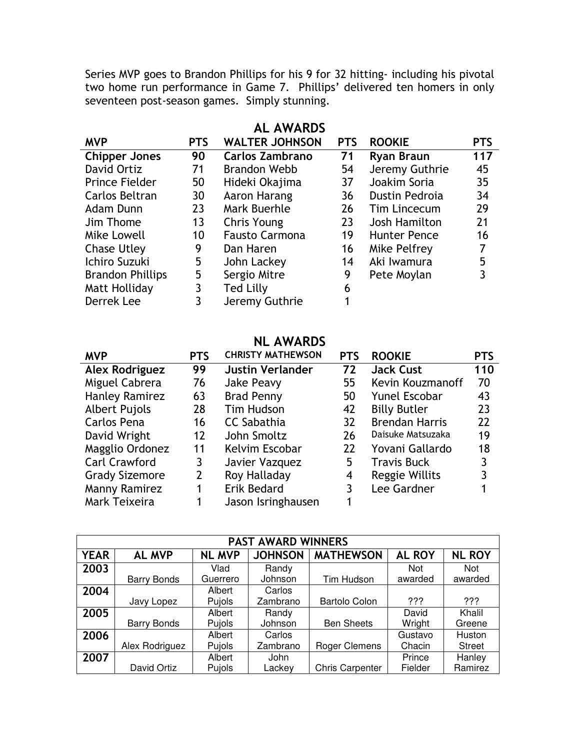Series MVP goes to Brandon Phillips for his 9 for 32 hitting- including his pivotal two home run performance in Game 7. Phillips' delivered ten homers in only seventeen post-season games. Simply stunning.

|                         |            | <b>AL AWARDS</b>       |            |                       |            |
|-------------------------|------------|------------------------|------------|-----------------------|------------|
| <b>MVP</b>              | <b>PTS</b> | <b>WALTER JOHNSON</b>  | <b>PTS</b> | <b>ROOKIE</b>         | <b>PTS</b> |
| <b>Chipper Jones</b>    | 90         | <b>Carlos Zambrano</b> | 71         | <b>Ryan Braun</b>     | 117        |
| David Ortiz             | 71         | <b>Brandon Webb</b>    | 54         | Jeremy Guthrie        | 45         |
| <b>Prince Fielder</b>   | 50         | Hideki Okajima         | 37         | Joakim Soria          | 35         |
| Carlos Beltran          | 30         | Aaron Harang           | 36         | <b>Dustin Pedroja</b> | 34         |
| Adam Dunn               | 23         | Mark Buerhle           | 26         | Tim Lincecum          | 29         |
| Jim Thome               | 13         | Chris Young            | 23         | Josh Hamilton         | 21         |
| Mike Lowell             | 10         | <b>Fausto Carmona</b>  | 19         | <b>Hunter Pence</b>   | 16         |
| <b>Chase Utley</b>      | 9          | Dan Haren              | 16         | Mike Pelfrey          | 7          |
| Ichiro Suzuki           | 5          | John Lackey            | 14         | Aki Iwamura           | 5          |
| <b>Brandon Phillips</b> | 5          | Sergio Mitre           | 9          | Pete Moylan           | 3          |
| Matt Holliday           | 3          | <b>Ted Lilly</b>       | 6          |                       |            |
| Derrek Lee              | 3          | Jeremy Guthrie         |            |                       |            |

## NL AWARDS

| <b>MVP</b>            | <b>PTS</b> | <b>CHRISTY MATHEWSON</b> | <b>PTS</b>      | <b>ROOKIE</b>         | <b>PTS</b> |
|-----------------------|------------|--------------------------|-----------------|-----------------------|------------|
| Alex Rodriguez        | 99         | <b>Justin Verlander</b>  | 72              | <b>Jack Cust</b>      | 110        |
| Miguel Cabrera        | 76         | Jake Peavy               | 55              | Kevin Kouzmanoff      | 70         |
| <b>Hanley Ramirez</b> | 63         | <b>Brad Penny</b>        | 50              | Yunel Escobar         | 43         |
| <b>Albert Pujols</b>  | 28         | Tim Hudson               | 42              | <b>Billy Butler</b>   | 23         |
| Carlos Pena           | 16         | <b>CC Sabathia</b>       | 32 <sup>2</sup> | <b>Brendan Harris</b> | 22         |
| David Wright          | 12         | John Smoltz              | 26              | Daisuke Matsuzaka     | 19         |
| Magglio Ordonez       | 11         | Kelvim Escobar           | 22              | Yovani Gallardo       | 18         |
| <b>Carl Crawford</b>  | 3          | Javier Vazquez           | 5               | <b>Travis Buck</b>    | 3          |
| <b>Grady Sizemore</b> | 2          | Roy Halladay             | 4               | Reggie Willits        | 3          |
| Manny Ramirez         | 1          | Erik Bedard              | 3               | Lee Gardner           |            |
| Mark Teixeira         |            | Jason Isringhausen       |                 |                       |            |

| <b>PAST AWARD WINNERS</b> |                    |               |                |                        |               |               |  |
|---------------------------|--------------------|---------------|----------------|------------------------|---------------|---------------|--|
| <b>YEAR</b>               | <b>AL MVP</b>      | <b>NL MVP</b> | <b>JOHNSON</b> | <b>MATHEWSON</b>       | <b>AL ROY</b> | <b>NL ROY</b> |  |
| 2003                      |                    | Vlad          | Randy          |                        | Not           | Not           |  |
|                           | <b>Barry Bonds</b> | Guerrero      | Johnson        | Tim Hudson             | awarded       | awarded       |  |
| 2004                      |                    | Albert        | Carlos         |                        |               |               |  |
|                           | Javy Lopez         | Pujols        | Zambrano       | <b>Bartolo Colon</b>   | ???           | ???           |  |
| 2005                      |                    | Albert        | Randy          |                        | David         | Khalil        |  |
|                           | <b>Barry Bonds</b> | Pujols        | Johnson        | <b>Ben Sheets</b>      | Wright        | Greene        |  |
| 2006                      |                    | Albert        | Carlos         |                        | Gustavo       | Huston        |  |
|                           | Alex Rodriguez     | Pujols        | Zambrano       | Roger Clemens          | Chacin        | <b>Street</b> |  |
| 2007                      |                    | Albert        | John           |                        | Prince        | Hanley        |  |
|                           | David Ortiz        | Pujols        | Lackey         | <b>Chris Carpenter</b> | Fielder       | Ramirez       |  |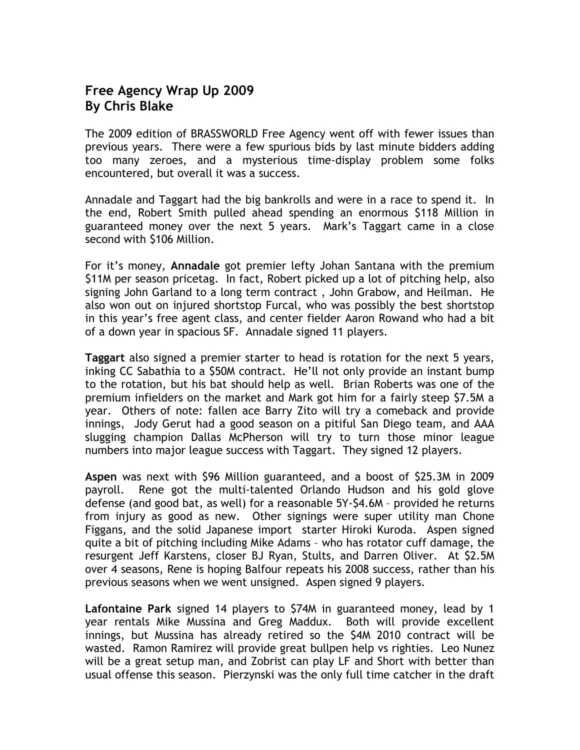# Free Agency Wrap Up 2009 By Chris Blake

The 2009 edition of BRASSWORLD Free Agency went off with fewer issues than previous years. There were a few spurious bids by last minute bidders adding too many zeroes, and a mysterious time-display problem some folks encountered, but overall it was a success.

Annadale and Taggart had the big bankrolls and were in a race to spend it. In the end, Robert Smith pulled ahead spending an enormous \$118 Million in guaranteed money over the next 5 years. Mark's Taggart came in a close second with \$106 Million.

For it's money, Annadale got premier lefty Johan Santana with the premium \$11M per season pricetag. In fact, Robert picked up a lot of pitching help, also signing John Garland to a long term contract , John Grabow, and Heilman. He also won out on injured shortstop Furcal, who was possibly the best shortstop in this year's free agent class, and center fielder Aaron Rowand who had a bit of a down year in spacious SF. Annadale signed 11 players.

Taggart also signed a premier starter to head is rotation for the next 5 years, inking CC Sabathia to a \$50M contract. He'll not only provide an instant bump to the rotation, but his bat should help as well. Brian Roberts was one of the premium infielders on the market and Mark got him for a fairly steep \$7.5M a year. Others of note: fallen ace Barry Zito will try a comeback and provide innings, Jody Gerut had a good season on a pitiful San Diego team, and AAA slugging champion Dallas McPherson will try to turn those minor league numbers into major league success with Taggart. They signed 12 players.

Aspen was next with \$96 Million guaranteed, and a boost of \$25.3M in 2009 payroll. Rene got the multi-talented Orlando Hudson and his gold glove defense (and good bat, as well) for a reasonable 5Y-\$4.6M – provided he returns from injury as good as new. Other signings were super utility man Chone Figgans, and the solid Japanese import starter Hiroki Kuroda. Aspen signed quite a bit of pitching including Mike Adams – who has rotator cuff damage, the resurgent Jeff Karstens, closer BJ Ryan, Stults, and Darren Oliver. At \$2.5M over 4 seasons, Rene is hoping Balfour repeats his 2008 success, rather than his previous seasons when we went unsigned. Aspen signed 9 players.

Lafontaine Park signed 14 players to \$74M in guaranteed money, lead by 1 year rentals Mike Mussina and Greg Maddux. Both will provide excellent innings, but Mussina has already retired so the \$4M 2010 contract will be wasted. Ramon Ramirez will provide great bullpen help vs righties. Leo Nunez will be a great setup man, and Zobrist can play LF and Short with better than usual offense this season. Pierzynski was the only full time catcher in the draft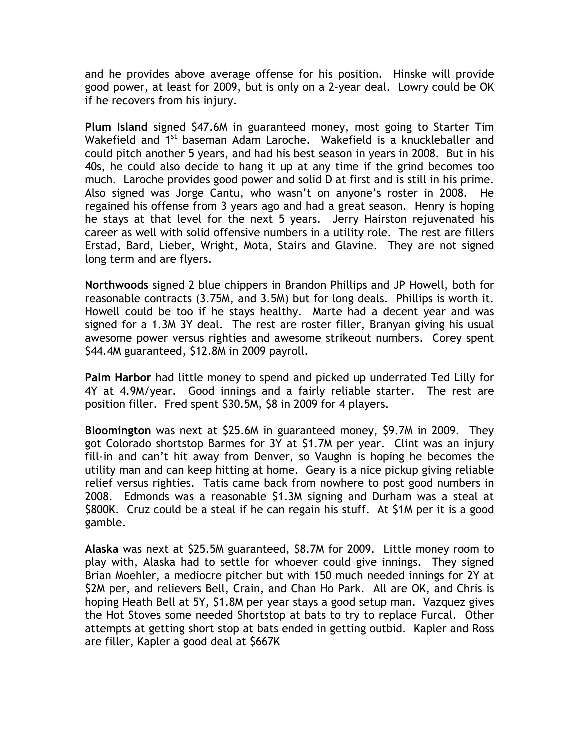and he provides above average offense for his position. Hinske will provide good power, at least for 2009, but is only on a 2-year deal. Lowry could be OK if he recovers from his injury.

Plum Island signed \$47.6M in guaranteed money, most going to Starter Tim Wakefield and 1<sup>st</sup> baseman Adam Laroche. Wakefield is a knuckleballer and could pitch another 5 years, and had his best season in years in 2008. But in his 40s, he could also decide to hang it up at any time if the grind becomes too much. Laroche provides good power and solid D at first and is still in his prime. Also signed was Jorge Cantu, who wasn't on anyone's roster in 2008. He regained his offense from 3 years ago and had a great season. Henry is hoping he stays at that level for the next 5 years. Jerry Hairston rejuvenated his career as well with solid offensive numbers in a utility role. The rest are fillers Erstad, Bard, Lieber, Wright, Mota, Stairs and Glavine. They are not signed long term and are flyers.

Northwoods signed 2 blue chippers in Brandon Phillips and JP Howell, both for reasonable contracts (3.75M, and 3.5M) but for long deals. Phillips is worth it. Howell could be too if he stays healthy. Marte had a decent year and was signed for a 1.3M 3Y deal. The rest are roster filler, Branyan giving his usual awesome power versus righties and awesome strikeout numbers. Corey spent \$44.4M guaranteed, \$12.8M in 2009 payroll.

Palm Harbor had little money to spend and picked up underrated Ted Lilly for 4Y at 4.9M/year. Good innings and a fairly reliable starter. The rest are position filler. Fred spent \$30.5M, \$8 in 2009 for 4 players.

Bloomington was next at \$25.6M in guaranteed money, \$9.7M in 2009. They got Colorado shortstop Barmes for 3Y at \$1.7M per year. Clint was an injury fill-in and can't hit away from Denver, so Vaughn is hoping he becomes the utility man and can keep hitting at home. Geary is a nice pickup giving reliable relief versus righties. Tatis came back from nowhere to post good numbers in 2008. Edmonds was a reasonable \$1.3M signing and Durham was a steal at \$800K. Cruz could be a steal if he can regain his stuff. At \$1M per it is a good gamble.

Alaska was next at \$25.5M guaranteed, \$8.7M for 2009. Little money room to play with, Alaska had to settle for whoever could give innings. They signed Brian Moehler, a mediocre pitcher but with 150 much needed innings for 2Y at \$2M per, and relievers Bell, Crain, and Chan Ho Park. All are OK, and Chris is hoping Heath Bell at 5Y, \$1.8M per year stays a good setup man. Vazquez gives the Hot Stoves some needed Shortstop at bats to try to replace Furcal. Other attempts at getting short stop at bats ended in getting outbid. Kapler and Ross are filler, Kapler a good deal at \$667K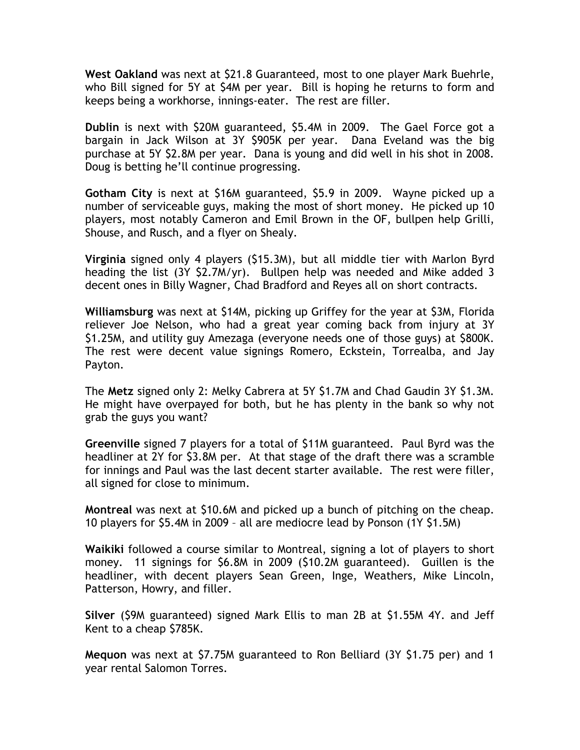West Oakland was next at \$21.8 Guaranteed, most to one player Mark Buehrle, who Bill signed for 5Y at \$4M per year. Bill is hoping he returns to form and keeps being a workhorse, innings-eater. The rest are filler.

Dublin is next with \$20M guaranteed, \$5.4M in 2009. The Gael Force got a bargain in Jack Wilson at 3Y \$905K per year. Dana Eveland was the big purchase at 5Y \$2.8M per year. Dana is young and did well in his shot in 2008. Doug is betting he'll continue progressing.

Gotham City is next at \$16M guaranteed, \$5.9 in 2009. Wayne picked up a number of serviceable guys, making the most of short money. He picked up 10 players, most notably Cameron and Emil Brown in the OF, bullpen help Grilli, Shouse, and Rusch, and a flyer on Shealy.

Virginia signed only 4 players (\$15.3M), but all middle tier with Marlon Byrd heading the list (3Y \$2.7M/yr). Bullpen help was needed and Mike added 3 decent ones in Billy Wagner, Chad Bradford and Reyes all on short contracts.

Williamsburg was next at \$14M, picking up Griffey for the year at \$3M, Florida reliever Joe Nelson, who had a great year coming back from injury at 3Y \$1.25M, and utility guy Amezaga (everyone needs one of those guys) at \$800K. The rest were decent value signings Romero, Eckstein, Torrealba, and Jay Payton.

The Metz signed only 2: Melky Cabrera at 5Y \$1.7M and Chad Gaudin 3Y \$1.3M. He might have overpayed for both, but he has plenty in the bank so why not grab the guys you want?

Greenville signed 7 players for a total of \$11M guaranteed. Paul Byrd was the headliner at 2Y for \$3.8M per. At that stage of the draft there was a scramble for innings and Paul was the last decent starter available. The rest were filler, all signed for close to minimum.

Montreal was next at \$10.6M and picked up a bunch of pitching on the cheap. 10 players for \$5.4M in 2009 – all are mediocre lead by Ponson (1Y \$1.5M)

Waikiki followed a course similar to Montreal, signing a lot of players to short money. 11 signings for \$6.8M in 2009 (\$10.2M guaranteed). Guillen is the headliner, with decent players Sean Green, Inge, Weathers, Mike Lincoln, Patterson, Howry, and filler.

Silver (\$9M guaranteed) signed Mark Ellis to man 2B at \$1.55M 4Y. and Jeff Kent to a cheap \$785K.

Mequon was next at \$7.75M guaranteed to Ron Belliard (3Y \$1.75 per) and 1 year rental Salomon Torres.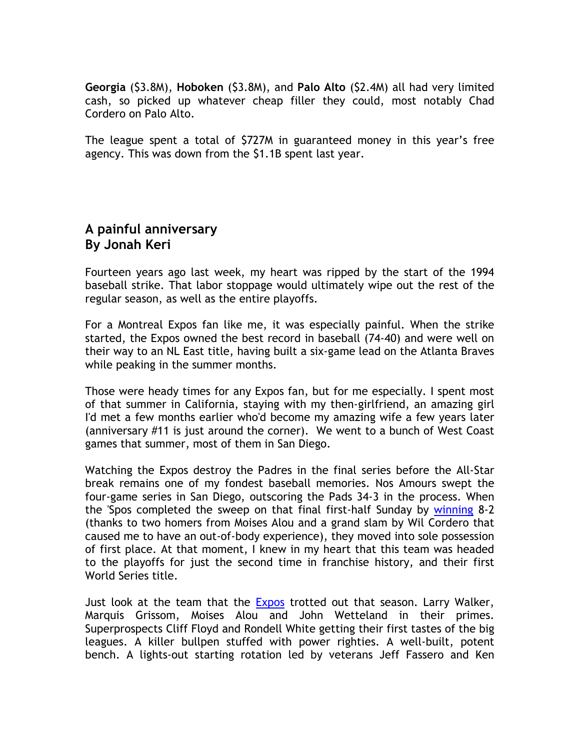Georgia (\$3.8M), Hoboken (\$3.8M), and Palo Alto (\$2.4M) all had very limited cash, so picked up whatever cheap filler they could, most notably Chad Cordero on Palo Alto.

The league spent a total of \$727M in guaranteed money in this year's free agency. This was down from the \$1.1B spent last year.

## A painful anniversary By Jonah Keri

Fourteen years ago last week, my heart was ripped by the start of the 1994 baseball strike. That labor stoppage would ultimately wipe out the rest of the regular season, as well as the entire playoffs.

For a Montreal Expos fan like me, it was especially painful. When the strike started, the Expos owned the best record in baseball (74-40) and were well on their way to an NL East title, having built a six-game lead on the Atlanta Braves while peaking in the summer months.

Those were heady times for any Expos fan, but for me especially. I spent most of that summer in California, staying with my then-girlfriend, an amazing girl I'd met a few months earlier who'd become my amazing wife a few years later (anniversary #11 is just around the corner). We went to a bunch of West Coast games that summer, most of them in San Diego.

Watching the Expos destroy the Padres in the final series before the All-Star break remains one of my fondest baseball memories. Nos Amours swept the four-game series in San Diego, outscoring the Pads 34-3 in the process. When the 'Spos completed the sweep on that final first-half Sunday by winning 8-2 (thanks to two homers from Moises Alou and a grand slam by Wil Cordero that caused me to have an out-of-body experience), they moved into sole possession of first place. At that moment, I knew in my heart that this team was headed to the playoffs for just the second time in franchise history, and their first World Series title.

Just look at the team that the Expos trotted out that season. Larry Walker, Marquis Grissom, Moises Alou and John Wetteland in their primes. Superprospects Cliff Floyd and Rondell White getting their first tastes of the big leagues. A killer bullpen stuffed with power righties. A well-built, potent bench. A lights-out starting rotation led by veterans Jeff Fassero and Ken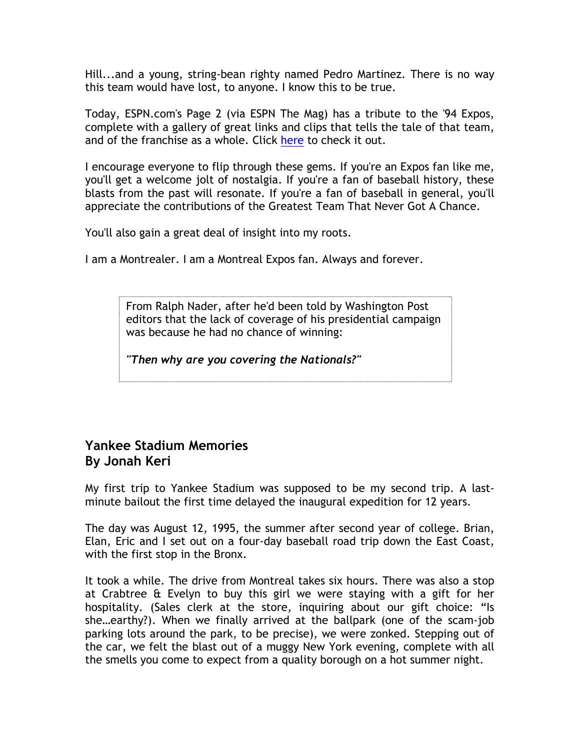Hill...and a young, string-bean righty named Pedro Martinez. There is no way this team would have lost, to anyone. I know this to be true.

Today, ESPN.com's Page 2 (via ESPN The Mag) has a tribute to the '94 Expos, complete with a gallery of great links and clips that tells the tale of that team, and of the franchise as a whole. Click here to check it out.

I encourage everyone to flip through these gems. If you're an Expos fan like me, you'll get a welcome jolt of nostalgia. If you're a fan of baseball history, these blasts from the past will resonate. If you're a fan of baseball in general, you'll appreciate the contributions of the Greatest Team That Never Got A Chance.

You'll also gain a great deal of insight into my roots.

I am a Montrealer. I am a Montreal Expos fan. Always and forever.

From Ralph Nader, after he'd been told by Washington Post editors that the lack of coverage of his presidential campaign was because he had no chance of winning:

"Then why are you covering the Nationals?"

# Yankee Stadium Memories By Jonah Keri

My first trip to Yankee Stadium was supposed to be my second trip. A lastminute bailout the first time delayed the inaugural expedition for 12 years.

The day was August 12, 1995, the summer after second year of college. Brian, Elan, Eric and I set out on a four-day baseball road trip down the East Coast, with the first stop in the Bronx.

It took a while. The drive from Montreal takes six hours. There was also a stop at Crabtree & Evelyn to buy this girl we were staying with a gift for her hospitality. (Sales clerk at the store, inquiring about our gift choice: "Is she…earthy?). When we finally arrived at the ballpark (one of the scam-job parking lots around the park, to be precise), we were zonked. Stepping out of the car, we felt the blast out of a muggy New York evening, complete with all the smells you come to expect from a quality borough on a hot summer night.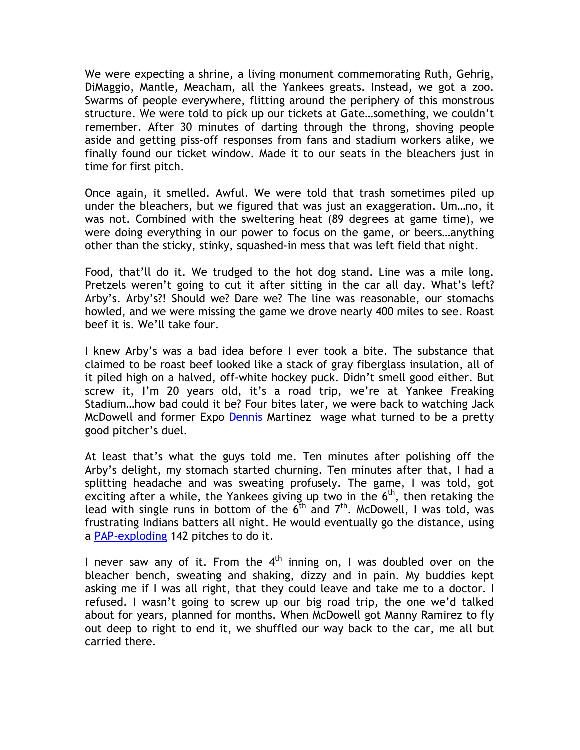We were expecting a shrine, a living monument commemorating Ruth, Gehrig, DiMaggio, Mantle, Meacham, all the Yankees greats. Instead, we got a zoo. Swarms of people everywhere, flitting around the periphery of this monstrous structure. We were told to pick up our tickets at Gate…something, we couldn't remember. After 30 minutes of darting through the throng, shoving people aside and getting piss-off responses from fans and stadium workers alike, we finally found our ticket window. Made it to our seats in the bleachers just in time for first pitch.

Once again, it smelled. Awful. We were told that trash sometimes piled up under the bleachers, but we figured that was just an exaggeration. Um…no, it was not. Combined with the sweltering heat (89 degrees at game time), we were doing everything in our power to focus on the game, or beers…anything other than the sticky, stinky, squashed-in mess that was left field that night.

Food, that'll do it. We trudged to the hot dog stand. Line was a mile long. Pretzels weren't going to cut it after sitting in the car all day. What's left? Arby's. Arby's?! Should we? Dare we? The line was reasonable, our stomachs howled, and we were missing the game we drove nearly 400 miles to see. Roast beef it is. We'll take four.

I knew Arby's was a bad idea before I ever took a bite. The substance that claimed to be roast beef looked like a stack of gray fiberglass insulation, all of it piled high on a halved, off-white hockey puck. Didn't smell good either. But screw it, I'm 20 years old, it's a road trip, we're at Yankee Freaking Stadium…how bad could it be? Four bites later, we were back to watching Jack McDowell and former Expo Dennis Martinez wage what turned to be a pretty good pitcher's duel.

At least that's what the guys told me. Ten minutes after polishing off the Arby's delight, my stomach started churning. Ten minutes after that, I had a splitting headache and was sweating profusely. The game, I was told, got exciting after a while, the Yankees giving up two in the  $6<sup>th</sup>$ , then retaking the lead with single runs in bottom of the  $6<sup>th</sup>$  and  $7<sup>th</sup>$ . McDowell, I was told, was frustrating Indians batters all night. He would eventually go the distance, using a PAP-exploding 142 pitches to do it.

I never saw any of it. From the  $4<sup>th</sup>$  inning on, I was doubled over on the bleacher bench, sweating and shaking, dizzy and in pain. My buddies kept asking me if I was all right, that they could leave and take me to a doctor. I refused. I wasn't going to screw up our big road trip, the one we'd talked about for years, planned for months. When McDowell got Manny Ramirez to fly out deep to right to end it, we shuffled our way back to the car, me all but carried there.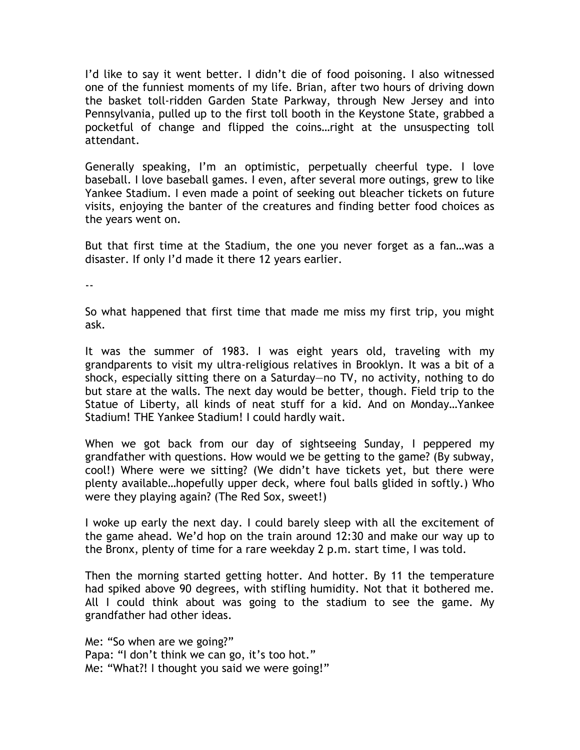I'd like to say it went better. I didn't die of food poisoning. I also witnessed one of the funniest moments of my life. Brian, after two hours of driving down the basket toll-ridden Garden State Parkway, through New Jersey and into Pennsylvania, pulled up to the first toll booth in the Keystone State, grabbed a pocketful of change and flipped the coins…right at the unsuspecting toll attendant.

Generally speaking, I'm an optimistic, perpetually cheerful type. I love baseball. I love baseball games. I even, after several more outings, grew to like Yankee Stadium. I even made a point of seeking out bleacher tickets on future visits, enjoying the banter of the creatures and finding better food choices as the years went on.

But that first time at the Stadium, the one you never forget as a fan…was a disaster. If only I'd made it there 12 years earlier.

--

So what happened that first time that made me miss my first trip, you might ask.

It was the summer of 1983. I was eight years old, traveling with my grandparents to visit my ultra-religious relatives in Brooklyn. It was a bit of a shock, especially sitting there on a Saturday—no TV, no activity, nothing to do but stare at the walls. The next day would be better, though. Field trip to the Statue of Liberty, all kinds of neat stuff for a kid. And on Monday…Yankee Stadium! THE Yankee Stadium! I could hardly wait.

When we got back from our day of sightseeing Sunday, I peppered my grandfather with questions. How would we be getting to the game? (By subway, cool!) Where were we sitting? (We didn't have tickets yet, but there were plenty available…hopefully upper deck, where foul balls glided in softly.) Who were they playing again? (The Red Sox, sweet!)

I woke up early the next day. I could barely sleep with all the excitement of the game ahead. We'd hop on the train around 12:30 and make our way up to the Bronx, plenty of time for a rare weekday 2 p.m. start time, I was told.

Then the morning started getting hotter. And hotter. By 11 the temperature had spiked above 90 degrees, with stifling humidity. Not that it bothered me. All I could think about was going to the stadium to see the game. My grandfather had other ideas.

Me: "So when are we going?" Papa: "I don't think we can go, it's too hot." Me: "What?! I thought you said we were going!"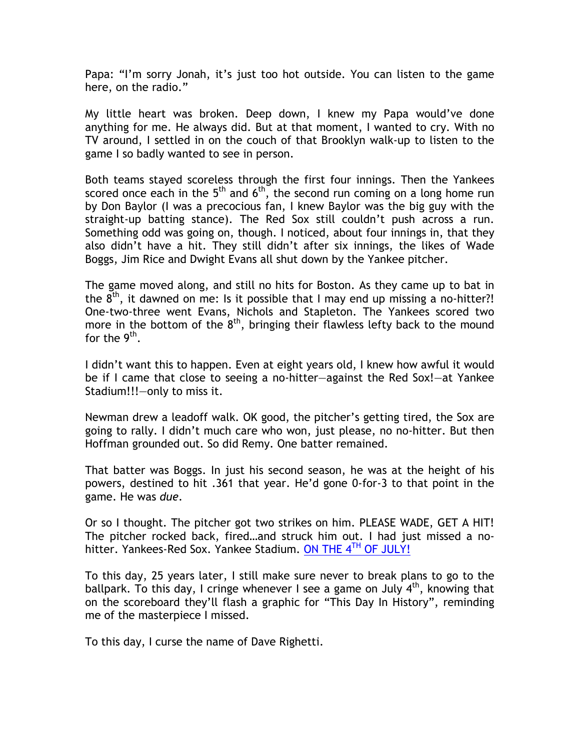Papa: "I'm sorry Jonah, it's just too hot outside. You can listen to the game here, on the radio."

My little heart was broken. Deep down, I knew my Papa would've done anything for me. He always did. But at that moment, I wanted to cry. With no TV around, I settled in on the couch of that Brooklyn walk-up to listen to the game I so badly wanted to see in person.

Both teams stayed scoreless through the first four innings. Then the Yankees scored once each in the  $5<sup>th</sup>$  and  $6<sup>th</sup>$ , the second run coming on a long home run by Don Baylor (I was a precocious fan, I knew Baylor was the big guy with the straight-up batting stance). The Red Sox still couldn't push across a run. Something odd was going on, though. I noticed, about four innings in, that they also didn't have a hit. They still didn't after six innings, the likes of Wade Boggs, Jim Rice and Dwight Evans all shut down by the Yankee pitcher.

The game moved along, and still no hits for Boston. As they came up to bat in the  $8<sup>th</sup>$ , it dawned on me: Is it possible that I may end up missing a no-hitter?! One-two-three went Evans, Nichols and Stapleton. The Yankees scored two more in the bottom of the  $8<sup>th</sup>$ , bringing their flawless lefty back to the mound for the 9<sup>th</sup>.

I didn't want this to happen. Even at eight years old, I knew how awful it would be if I came that close to seeing a no-hitter—against the Red Sox!—at Yankee Stadium!!!—only to miss it.

Newman drew a leadoff walk. OK good, the pitcher's getting tired, the Sox are going to rally. I didn't much care who won, just please, no no-hitter. But then Hoffman grounded out. So did Remy. One batter remained.

That batter was Boggs. In just his second season, he was at the height of his powers, destined to hit .361 that year. He'd gone 0-for-3 to that point in the game. He was due.

Or so I thought. The pitcher got two strikes on him. PLEASE WADE, GET A HIT! The pitcher rocked back, fired…and struck him out. I had just missed a nohitter. Yankees-Red Sox. Yankee Stadium. ON THE 4<sup>TH</sup> OF JULY!

To this day, 25 years later, I still make sure never to break plans to go to the ballpark. To this day, I cringe whenever I see a game on July  $4<sup>th</sup>$ , knowing that on the scoreboard they'll flash a graphic for "This Day In History", reminding me of the masterpiece I missed.

To this day, I curse the name of Dave Righetti.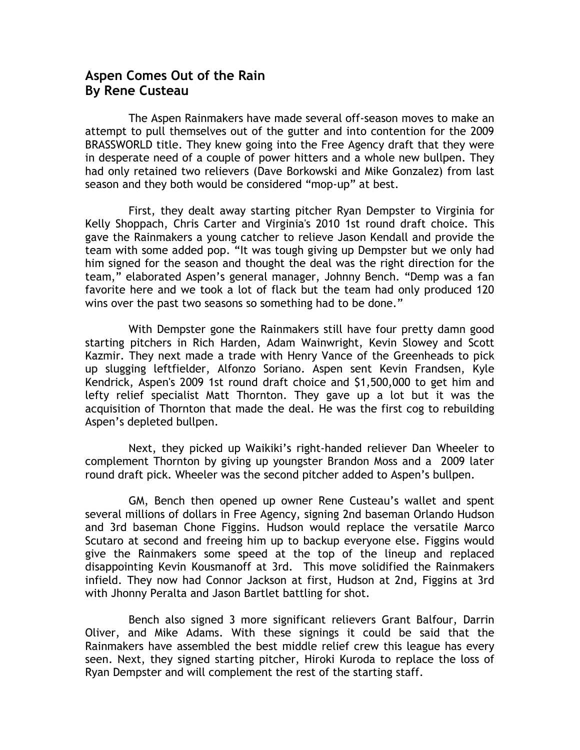## Aspen Comes Out of the Rain By Rene Custeau

 The Aspen Rainmakers have made several off-season moves to make an attempt to pull themselves out of the gutter and into contention for the 2009 BRASSWORLD title. They knew going into the Free Agency draft that they were in desperate need of a couple of power hitters and a whole new bullpen. They had only retained two relievers (Dave Borkowski and Mike Gonzalez) from last season and they both would be considered "mop-up" at best.

 First, they dealt away starting pitcher Ryan Dempster to Virginia for Kelly Shoppach, Chris Carter and Virginia's 2010 1st round draft choice. This gave the Rainmakers a young catcher to relieve Jason Kendall and provide the team with some added pop. "It was tough giving up Dempster but we only had him signed for the season and thought the deal was the right direction for the team," elaborated Aspen's general manager, Johnny Bench. "Demp was a fan favorite here and we took a lot of flack but the team had only produced 120 wins over the past two seasons so something had to be done."

 With Dempster gone the Rainmakers still have four pretty damn good starting pitchers in Rich Harden, Adam Wainwright, Kevin Slowey and Scott Kazmir. They next made a trade with Henry Vance of the Greenheads to pick up slugging leftfielder, Alfonzo Soriano. Aspen sent Kevin Frandsen, Kyle Kendrick, Aspen's 2009 1st round draft choice and \$1,500,000 to get him and lefty relief specialist Matt Thornton. They gave up a lot but it was the acquisition of Thornton that made the deal. He was the first cog to rebuilding Aspen's depleted bullpen.

 Next, they picked up Waikiki's right-handed reliever Dan Wheeler to complement Thornton by giving up youngster Brandon Moss and a 2009 later round draft pick. Wheeler was the second pitcher added to Aspen's bullpen.

 GM, Bench then opened up owner Rene Custeau's wallet and spent several millions of dollars in Free Agency, signing 2nd baseman Orlando Hudson and 3rd baseman Chone Figgins. Hudson would replace the versatile Marco Scutaro at second and freeing him up to backup everyone else. Figgins would give the Rainmakers some speed at the top of the lineup and replaced disappointing Kevin Kousmanoff at 3rd. This move solidified the Rainmakers infield. They now had Connor Jackson at first, Hudson at 2nd, Figgins at 3rd with Jhonny Peralta and Jason Bartlet battling for shot.

 Bench also signed 3 more significant relievers Grant Balfour, Darrin Oliver, and Mike Adams. With these signings it could be said that the Rainmakers have assembled the best middle relief crew this league has every seen. Next, they signed starting pitcher, Hiroki Kuroda to replace the loss of Ryan Dempster and will complement the rest of the starting staff.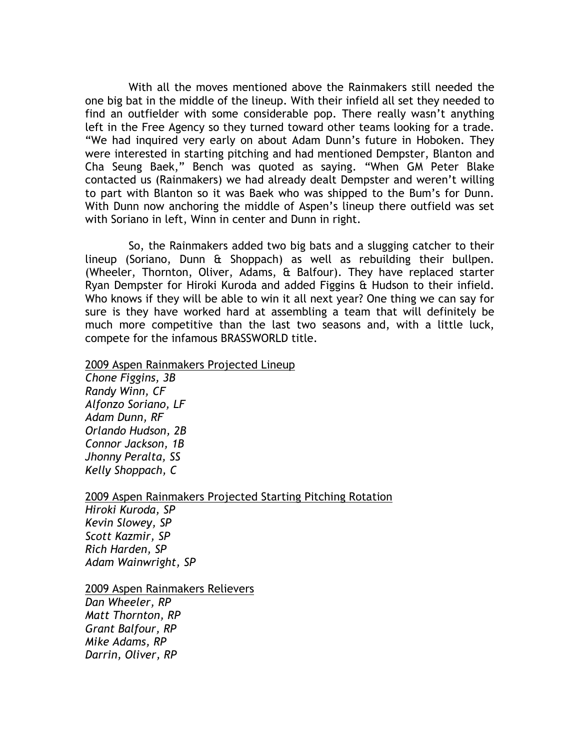With all the moves mentioned above the Rainmakers still needed the one big bat in the middle of the lineup. With their infield all set they needed to find an outfielder with some considerable pop. There really wasn't anything left in the Free Agency so they turned toward other teams looking for a trade. "We had inquired very early on about Adam Dunn's future in Hoboken. They were interested in starting pitching and had mentioned Dempster, Blanton and Cha Seung Baek," Bench was quoted as saying. "When GM Peter Blake contacted us (Rainmakers) we had already dealt Dempster and weren't willing to part with Blanton so it was Baek who was shipped to the Bum's for Dunn. With Dunn now anchoring the middle of Aspen's lineup there outfield was set with Soriano in left, Winn in center and Dunn in right.

 So, the Rainmakers added two big bats and a slugging catcher to their lineup (Soriano, Dunn & Shoppach) as well as rebuilding their bullpen. (Wheeler, Thornton, Oliver, Adams, & Balfour). They have replaced starter Ryan Dempster for Hiroki Kuroda and added Figgins & Hudson to their infield. Who knows if they will be able to win it all next year? One thing we can say for sure is they have worked hard at assembling a team that will definitely be much more competitive than the last two seasons and, with a little luck, compete for the infamous BRASSWORLD title.

#### 2009 Aspen Rainmakers Projected Lineup

Chone Figgins, 3B Randy Winn, CF Alfonzo Soriano, LF Adam Dunn, RF Orlando Hudson, 2B Connor Jackson, 1B Jhonny Peralta, SS Kelly Shoppach, C

## 2009 Aspen Rainmakers Projected Starting Pitching Rotation Hiroki Kuroda, SP Kevin Slowey, SP Scott Kazmir, SP

Rich Harden, SP Adam Wainwright, SP

### 2009 Aspen Rainmakers Relievers

Dan Wheeler, RP Matt Thornton, RP Grant Balfour, RP Mike Adams, RP Darrin, Oliver, RP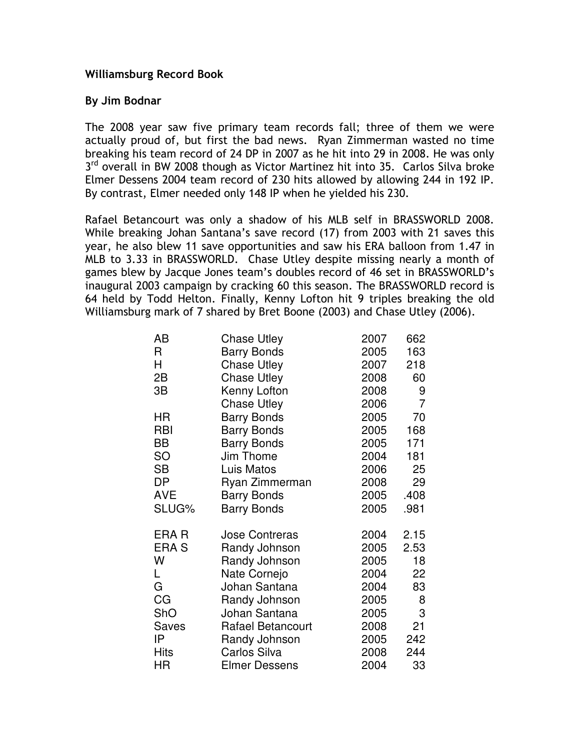## Williamsburg Record Book

### By Jim Bodnar

The 2008 year saw five primary team records fall; three of them we were actually proud of, but first the bad news. Ryan Zimmerman wasted no time breaking his team record of 24 DP in 2007 as he hit into 29 in 2008. He was only 3<sup>rd</sup> overall in BW 2008 though as Victor Martinez hit into 35. Carlos Silva broke Elmer Dessens 2004 team record of 230 hits allowed by allowing 244 in 192 IP. By contrast, Elmer needed only 148 IP when he yielded his 230.

Rafael Betancourt was only a shadow of his MLB self in BRASSWORLD 2008. While breaking Johan Santana's save record (17) from 2003 with 21 saves this year, he also blew 11 save opportunities and saw his ERA balloon from 1.47 in MLB to 3.33 in BRASSWORLD. Chase Utley despite missing nearly a month of games blew by Jacque Jones team's doubles record of 46 set in BRASSWORLD's inaugural 2003 campaign by cracking 60 this season. The BRASSWORLD record is 64 held by Todd Helton. Finally, Kenny Lofton hit 9 triples breaking the old Williamsburg mark of 7 shared by Bret Boone (2003) and Chase Utley (2006).

| AB           | <b>Chase Utley</b>       | 2007 | 662            |
|--------------|--------------------------|------|----------------|
| R            | <b>Barry Bonds</b>       | 2005 | 163            |
| Н            | <b>Chase Utley</b>       | 2007 | 218            |
| 2B           | <b>Chase Utley</b>       | 2008 | 60             |
| 3B           | Kenny Lofton             | 2008 | 9              |
|              | <b>Chase Utley</b>       | 2006 | $\overline{7}$ |
| ΗR           | <b>Barry Bonds</b>       | 2005 | 70             |
| RBI          | <b>Barry Bonds</b>       | 2005 | 168            |
| BB           | <b>Barry Bonds</b>       | 2005 | 171            |
| SO           | Jim Thome                | 2004 | 181            |
| <b>SB</b>    | Luis Matos               | 2006 | 25             |
| <b>DP</b>    | Ryan Zimmerman           | 2008 | 29             |
| <b>AVE</b>   | <b>Barry Bonds</b>       | 2005 | .408           |
| <b>SLUG%</b> | <b>Barry Bonds</b>       | 2005 | .981           |
| ERA R        | <b>Jose Contreras</b>    | 2004 | 2.15           |
| ERA S        | Randy Johnson            | 2005 | 2.53           |
| W            | Randy Johnson            | 2005 | 18             |
| L            | Nate Cornejo             | 2004 | 22             |
| G            | Johan Santana            | 2004 | 83             |
| CG           | Randy Johnson            | 2005 | 8              |
| ShO          | Johan Santana            | 2005 | 3              |
| Saves        | <b>Rafael Betancourt</b> | 2008 | 21             |
| IP           | Randy Johnson            | 2005 | 242            |
| <b>Hits</b>  | Carlos Silva             | 2008 | 244            |
| ΗR           | <b>Elmer Dessens</b>     | 2004 | 33             |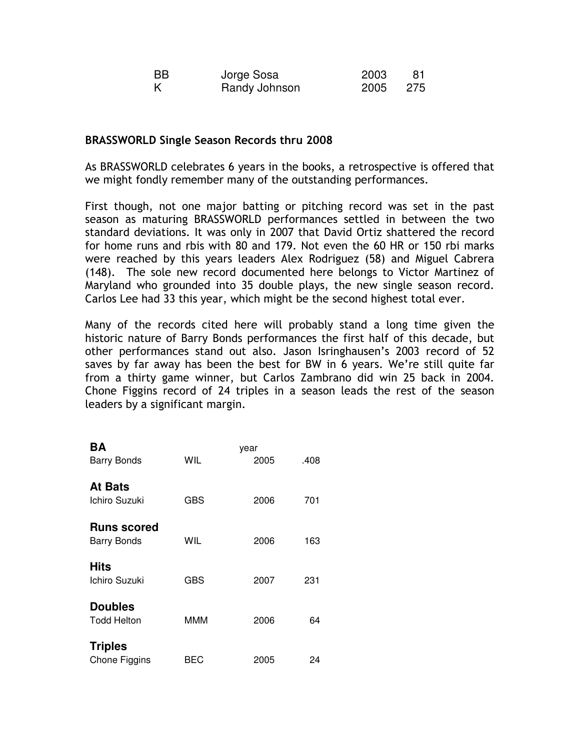| <b>BB</b> | Jorge Sosa    | 2003 | 81    |
|-----------|---------------|------|-------|
|           | Randy Johnson | 2005 | - 275 |

#### BRASSWORLD Single Season Records thru 2008

As BRASSWORLD celebrates 6 years in the books, a retrospective is offered that we might fondly remember many of the outstanding performances.

First though, not one major batting or pitching record was set in the past season as maturing BRASSWORLD performances settled in between the two standard deviations. It was only in 2007 that David Ortiz shattered the record for home runs and rbis with 80 and 179. Not even the 60 HR or 150 rbi marks were reached by this years leaders Alex Rodriguez (58) and Miguel Cabrera (148). The sole new record documented here belongs to Victor Martinez of Maryland who grounded into 35 double plays, the new single season record. Carlos Lee had 33 this year, which might be the second highest total ever.

Many of the records cited here will probably stand a long time given the historic nature of Barry Bonds performances the first half of this decade, but other performances stand out also. Jason Isringhausen's 2003 record of 52 saves by far away has been the best for BW in 6 years. We're still quite far from a thirty game winner, but Carlos Zambrano did win 25 back in 2004. Chone Figgins record of 24 triples in a season leads the rest of the season leaders by a significant margin.

| <b>BA</b><br><b>Barry Bonds</b>          | <b>WIL</b> | year<br>2005 | .408 |
|------------------------------------------|------------|--------------|------|
| <b>At Bats</b><br>Ichiro Suzuki          | GBS        | 2006         | 701  |
| <b>Runs scored</b><br><b>Barry Bonds</b> | WIL        | 2006         | 163  |
| Hits<br>Ichiro Suzuki                    | GBS        | 2007         | 231  |
| <b>Doubles</b><br><b>Todd Helton</b>     | <b>MMM</b> | 2006         | 64   |
| <b>Triples</b><br>Chone Figgins          | BEC        | 2005         | 24   |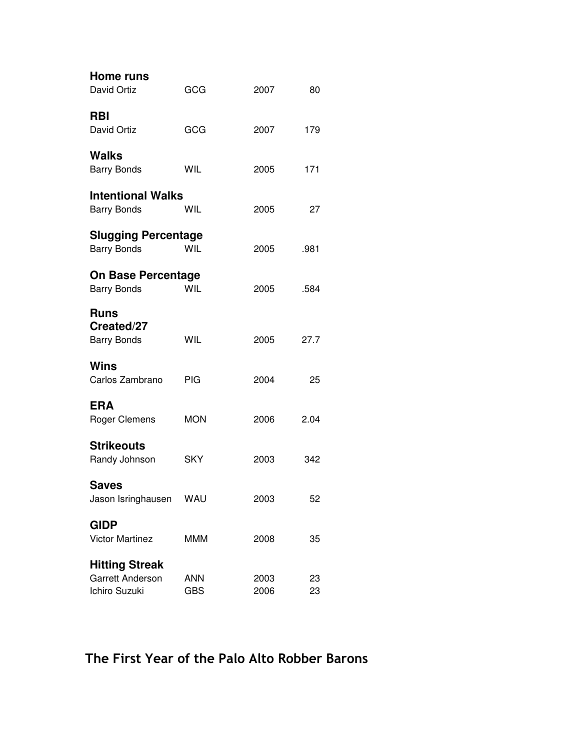| Home runs<br>David Ortiz                                          | GCG                      | 2007         | 80       |
|-------------------------------------------------------------------|--------------------------|--------------|----------|
| <b>RBI</b><br>David Ortiz                                         | GCG                      | 2007         | 179      |
| <b>Walks</b><br><b>Barry Bonds</b>                                | <b>WIL</b>               | 2005         | 171      |
| <b>Intentional Walks</b><br><b>Barry Bonds</b>                    | WIL                      | 2005         | 27       |
| <b>Slugging Percentage</b><br><b>Barry Bonds</b>                  | <b>WIL</b>               | 2005         | .981     |
| <b>On Base Percentage</b><br><b>Barry Bonds</b>                   | <b>WIL</b>               | 2005         | .584     |
| <b>Runs</b><br>Created/27<br><b>Barry Bonds</b>                   | <b>WIL</b>               | 2005         | 27.7     |
| Wins<br>Carlos Zambrano                                           | PIG                      | 2004         | 25       |
| <b>ERA</b><br>Roger Clemens                                       | <b>MON</b>               | 2006         | 2.04     |
| <b>Strikeouts</b><br>Randy Johnson                                | SKY                      | 2003         | 342      |
| <b>Saves</b><br>Jason Isringhausen                                | WAU                      | 2003         | 52       |
| <b>GIDP</b><br><b>Victor Martinez</b>                             | <b>MMM</b>               | 2008         | 35       |
| <b>Hitting Streak</b><br><b>Garrett Anderson</b><br>Ichiro Suzuki | <b>ANN</b><br><b>GBS</b> | 2003<br>2006 | 23<br>23 |

The First Year of the Palo Alto Robber Barons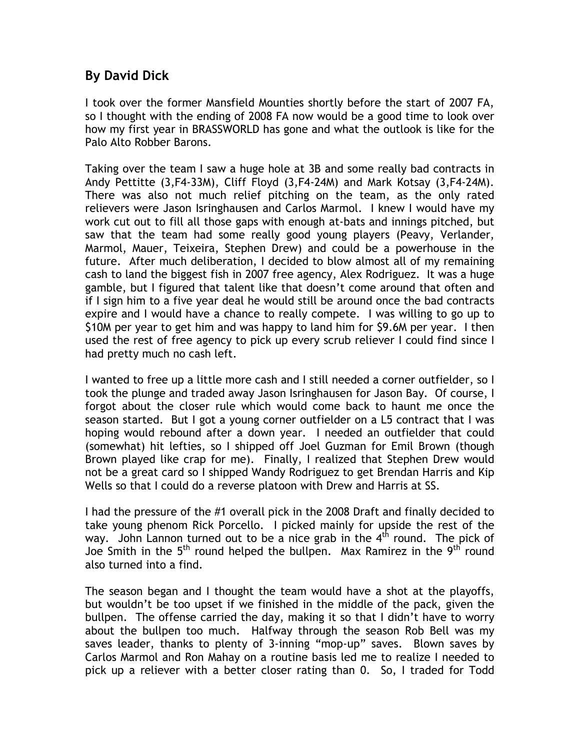# By David Dick

I took over the former Mansfield Mounties shortly before the start of 2007 FA, so I thought with the ending of 2008 FA now would be a good time to look over how my first year in BRASSWORLD has gone and what the outlook is like for the Palo Alto Robber Barons.

Taking over the team I saw a huge hole at 3B and some really bad contracts in Andy Pettitte (3,F4-33M), Cliff Floyd (3,F4-24M) and Mark Kotsay (3,F4-24M). There was also not much relief pitching on the team, as the only rated relievers were Jason Isringhausen and Carlos Marmol. I knew I would have my work cut out to fill all those gaps with enough at-bats and innings pitched, but saw that the team had some really good young players (Peavy, Verlander, Marmol, Mauer, Teixeira, Stephen Drew) and could be a powerhouse in the future. After much deliberation, I decided to blow almost all of my remaining cash to land the biggest fish in 2007 free agency, Alex Rodriguez. It was a huge gamble, but I figured that talent like that doesn't come around that often and if I sign him to a five year deal he would still be around once the bad contracts expire and I would have a chance to really compete. I was willing to go up to \$10M per year to get him and was happy to land him for \$9.6M per year. I then used the rest of free agency to pick up every scrub reliever I could find since I had pretty much no cash left.

I wanted to free up a little more cash and I still needed a corner outfielder, so I took the plunge and traded away Jason Isringhausen for Jason Bay. Of course, I forgot about the closer rule which would come back to haunt me once the season started. But I got a young corner outfielder on a L5 contract that I was hoping would rebound after a down year. I needed an outfielder that could (somewhat) hit lefties, so I shipped off Joel Guzman for Emil Brown (though Brown played like crap for me). Finally, I realized that Stephen Drew would not be a great card so I shipped Wandy Rodriguez to get Brendan Harris and Kip Wells so that I could do a reverse platoon with Drew and Harris at SS.

I had the pressure of the #1 overall pick in the 2008 Draft and finally decided to take young phenom Rick Porcello. I picked mainly for upside the rest of the way. John Lannon turned out to be a nice grab in the  $4<sup>th</sup>$  round. The pick of Joe Smith in the  $5<sup>th</sup>$  round helped the bullpen. Max Ramirez in the 9<sup>th</sup> round also turned into a find.

The season began and I thought the team would have a shot at the playoffs, but wouldn't be too upset if we finished in the middle of the pack, given the bullpen. The offense carried the day, making it so that I didn't have to worry about the bullpen too much. Halfway through the season Rob Bell was my saves leader, thanks to plenty of 3-inning "mop-up" saves. Blown saves by Carlos Marmol and Ron Mahay on a routine basis led me to realize I needed to pick up a reliever with a better closer rating than 0. So, I traded for Todd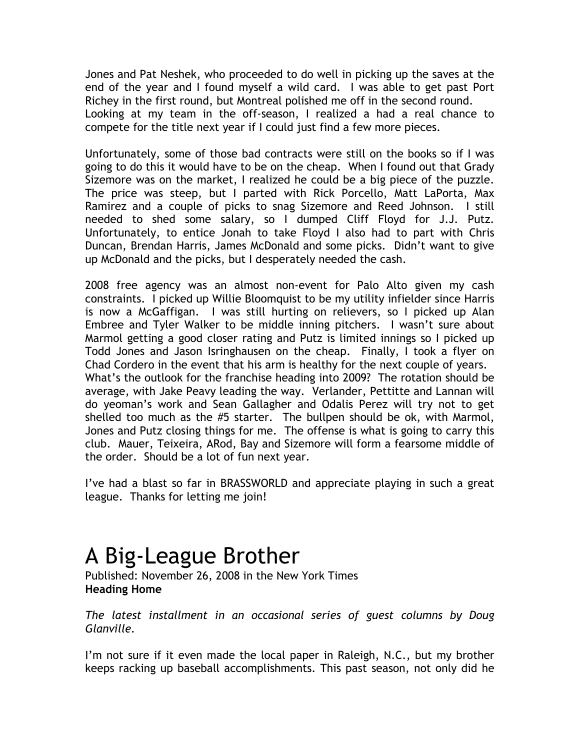Jones and Pat Neshek, who proceeded to do well in picking up the saves at the end of the year and I found myself a wild card. I was able to get past Port Richey in the first round, but Montreal polished me off in the second round. Looking at my team in the off-season, I realized a had a real chance to compete for the title next year if I could just find a few more pieces.

Unfortunately, some of those bad contracts were still on the books so if I was going to do this it would have to be on the cheap. When I found out that Grady Sizemore was on the market, I realized he could be a big piece of the puzzle. The price was steep, but I parted with Rick Porcello, Matt LaPorta, Max Ramirez and a couple of picks to snag Sizemore and Reed Johnson. I still needed to shed some salary, so I dumped Cliff Floyd for J.J. Putz. Unfortunately, to entice Jonah to take Floyd I also had to part with Chris Duncan, Brendan Harris, James McDonald and some picks. Didn't want to give up McDonald and the picks, but I desperately needed the cash.

2008 free agency was an almost non-event for Palo Alto given my cash constraints. I picked up Willie Bloomquist to be my utility infielder since Harris is now a McGaffigan. I was still hurting on relievers, so I picked up Alan Embree and Tyler Walker to be middle inning pitchers. I wasn't sure about Marmol getting a good closer rating and Putz is limited innings so I picked up Todd Jones and Jason Isringhausen on the cheap. Finally, I took a flyer on Chad Cordero in the event that his arm is healthy for the next couple of years. What's the outlook for the franchise heading into 2009? The rotation should be average, with Jake Peavy leading the way. Verlander, Pettitte and Lannan will do yeoman's work and Sean Gallagher and Odalis Perez will try not to get shelled too much as the #5 starter. The bullpen should be ok, with Marmol, Jones and Putz closing things for me. The offense is what is going to carry this club. Mauer, Teixeira, ARod, Bay and Sizemore will form a fearsome middle of the order. Should be a lot of fun next year.

I've had a blast so far in BRASSWORLD and appreciate playing in such a great league. Thanks for letting me join!

# A Big-League Brother

Published: November 26, 2008 in the New York Times Heading Home

The latest installment in an occasional series of guest columns by Doug Glanville.

I'm not sure if it even made the local paper in Raleigh, N.C., but my brother keeps racking up baseball accomplishments. This past season, not only did he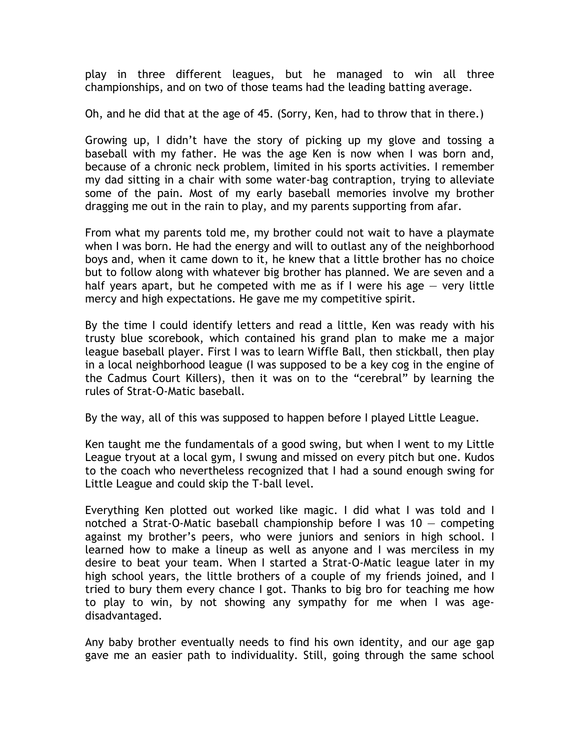play in three different leagues, but he managed to win all three championships, and on two of those teams had the leading batting average.

Oh, and he did that at the age of 45. (Sorry, Ken, had to throw that in there.)

Growing up, I didn't have the story of picking up my glove and tossing a baseball with my father. He was the age Ken is now when I was born and, because of a chronic neck problem, limited in his sports activities. I remember my dad sitting in a chair with some water-bag contraption, trying to alleviate some of the pain. Most of my early baseball memories involve my brother dragging me out in the rain to play, and my parents supporting from afar.

From what my parents told me, my brother could not wait to have a playmate when I was born. He had the energy and will to outlast any of the neighborhood boys and, when it came down to it, he knew that a little brother has no choice but to follow along with whatever big brother has planned. We are seven and a half years apart, but he competed with me as if I were his age — very little mercy and high expectations. He gave me my competitive spirit.

By the time I could identify letters and read a little, Ken was ready with his trusty blue scorebook, which contained his grand plan to make me a major league baseball player. First I was to learn Wiffle Ball, then stickball, then play in a local neighborhood league (I was supposed to be a key cog in the engine of the Cadmus Court Killers), then it was on to the "cerebral" by learning the rules of Strat-O-Matic baseball.

By the way, all of this was supposed to happen before I played Little League.

Ken taught me the fundamentals of a good swing, but when I went to my Little League tryout at a local gym, I swung and missed on every pitch but one. Kudos to the coach who nevertheless recognized that I had a sound enough swing for Little League and could skip the T-ball level.

Everything Ken plotted out worked like magic. I did what I was told and I notched a Strat-O-Matic baseball championship before I was  $10 -$  competing against my brother's peers, who were juniors and seniors in high school. I learned how to make a lineup as well as anyone and I was merciless in my desire to beat your team. When I started a Strat-O-Matic league later in my high school years, the little brothers of a couple of my friends joined, and I tried to bury them every chance I got. Thanks to big bro for teaching me how to play to win, by not showing any sympathy for me when I was agedisadvantaged.

Any baby brother eventually needs to find his own identity, and our age gap gave me an easier path to individuality. Still, going through the same school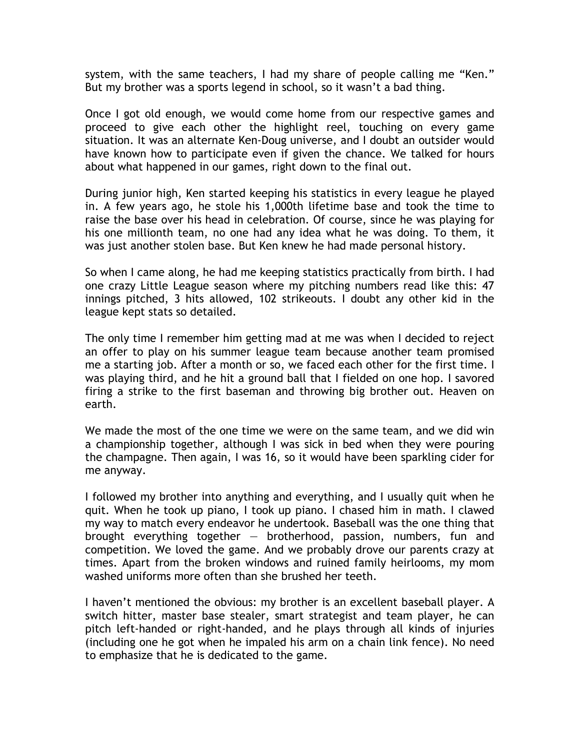system, with the same teachers, I had my share of people calling me "Ken." But my brother was a sports legend in school, so it wasn't a bad thing.

Once I got old enough, we would come home from our respective games and proceed to give each other the highlight reel, touching on every game situation. It was an alternate Ken-Doug universe, and I doubt an outsider would have known how to participate even if given the chance. We talked for hours about what happened in our games, right down to the final out.

During junior high, Ken started keeping his statistics in every league he played in. A few years ago, he stole his 1,000th lifetime base and took the time to raise the base over his head in celebration. Of course, since he was playing for his one millionth team, no one had any idea what he was doing. To them, it was just another stolen base. But Ken knew he had made personal history.

So when I came along, he had me keeping statistics practically from birth. I had one crazy Little League season where my pitching numbers read like this: 47 innings pitched, 3 hits allowed, 102 strikeouts. I doubt any other kid in the league kept stats so detailed.

The only time I remember him getting mad at me was when I decided to reject an offer to play on his summer league team because another team promised me a starting job. After a month or so, we faced each other for the first time. I was playing third, and he hit a ground ball that I fielded on one hop. I savored firing a strike to the first baseman and throwing big brother out. Heaven on earth.

We made the most of the one time we were on the same team, and we did win a championship together, although I was sick in bed when they were pouring the champagne. Then again, I was 16, so it would have been sparkling cider for me anyway.

I followed my brother into anything and everything, and I usually quit when he quit. When he took up piano, I took up piano. I chased him in math. I clawed my way to match every endeavor he undertook. Baseball was the one thing that brought everything together  $-$  brotherhood, passion, numbers, fun and competition. We loved the game. And we probably drove our parents crazy at times. Apart from the broken windows and ruined family heirlooms, my mom washed uniforms more often than she brushed her teeth.

I haven't mentioned the obvious: my brother is an excellent baseball player. A switch hitter, master base stealer, smart strategist and team player, he can pitch left-handed or right-handed, and he plays through all kinds of injuries (including one he got when he impaled his arm on a chain link fence). No need to emphasize that he is dedicated to the game.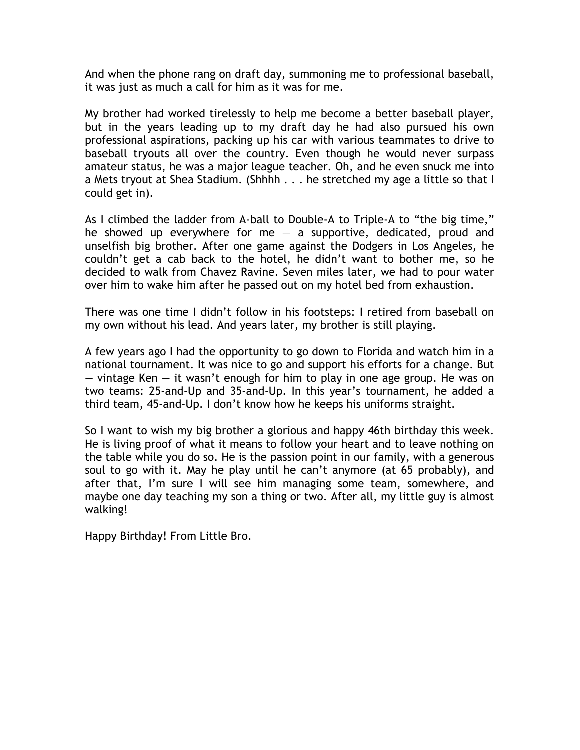And when the phone rang on draft day, summoning me to professional baseball, it was just as much a call for him as it was for me.

My brother had worked tirelessly to help me become a better baseball player, but in the years leading up to my draft day he had also pursued his own professional aspirations, packing up his car with various teammates to drive to baseball tryouts all over the country. Even though he would never surpass amateur status, he was a major league teacher. Oh, and he even snuck me into a Mets tryout at Shea Stadium. (Shhhh . . . he stretched my age a little so that I could get in).

As I climbed the ladder from A-ball to Double-A to Triple-A to "the big time," he showed up everywhere for me  $-$  a supportive, dedicated, proud and unselfish big brother. After one game against the Dodgers in Los Angeles, he couldn't get a cab back to the hotel, he didn't want to bother me, so he decided to walk from Chavez Ravine. Seven miles later, we had to pour water over him to wake him after he passed out on my hotel bed from exhaustion.

There was one time I didn't follow in his footsteps: I retired from baseball on my own without his lead. And years later, my brother is still playing.

A few years ago I had the opportunity to go down to Florida and watch him in a national tournament. It was nice to go and support his efforts for a change. But — vintage Ken — it wasn't enough for him to play in one age group. He was on two teams: 25-and-Up and 35-and-Up. In this year's tournament, he added a third team, 45-and-Up. I don't know how he keeps his uniforms straight.

So I want to wish my big brother a glorious and happy 46th birthday this week. He is living proof of what it means to follow your heart and to leave nothing on the table while you do so. He is the passion point in our family, with a generous soul to go with it. May he play until he can't anymore (at 65 probably), and after that, I'm sure I will see him managing some team, somewhere, and maybe one day teaching my son a thing or two. After all, my little guy is almost walking!

Happy Birthday! From Little Bro.